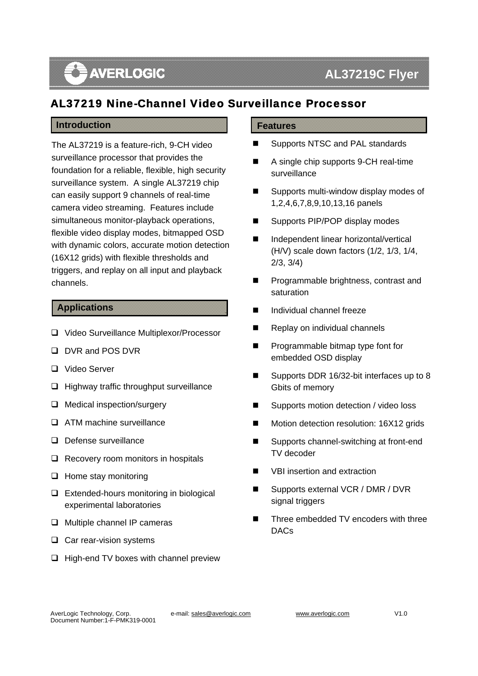# **AVERLOGIC**

## AL37219 Nine-Channel Video Surveillance Processor

### **Introduction**

 The AL37219 is a feature-rich, 9-CH video Fact that the presence and presence are the conditions of the condition for a reliable, flexible, high security surveillance system. A single AL37219 chip surveillance processor that provides the can easily support 9 channels of real-time camera video streaming. Features include simultaneous monitor-playback operations, flexible video display modes, bitmapped OSD with dynamic colors, accurate motion detection (16X12 grids) with flexible thresholds and triggers, and replay on all input and playback channels.

#### **Applications**

- □ Video Surveillance Multiplexor/Processor
- D DVR and POS DVR
- □ Video Server
- $\Box$  Highway traffic throughput surveillance
- **Q** Medical inspection/surgery
- **Q** ATM machine surveillance
- Defense surveillance
- $\Box$  Recovery room monitors in hospitals
- $\Box$  Home stay monitoring
- $\Box$  Extended-hours monitoring in biological experimental laboratories
- □ Multiple channel IP cameras
- $\Box$  Car rear-vision systems
- $\Box$  High-end TV boxes with channel preview

#### **Features**

- Supports NTSC and PAL standards
- A single chip supports 9-CH real-time surveillance
- Supports multi-window display modes of 1,2,4,6,7,8,9,10,13,16 panels
- Supports PIP/POP display modes
- Independent linear horizontal/vertical (H/V) scale down factors (1/2, 1/3, 1/4, 2/3, 3/4)
- Programmable brightness, contrast and saturation
- Individual channel freeze
- Replay on individual channels
- **Programmable bitmap type font for** embedded OSD display
- Supports DDR 16/32-bit interfaces up to 8 Gbits of memory
- Supports motion detection / video loss
- Motion detection resolution: 16X12 grids
- Supports channel-switching at front-end TV decoder
- VBI insertion and extraction
- Supports external VCR / DMR / DVR signal triggers
- Three embedded TV encoders with three DACs